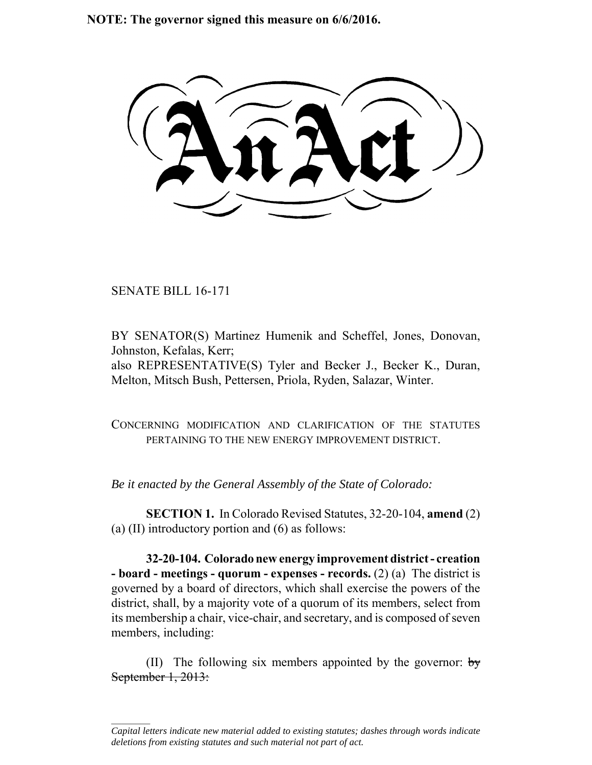**NOTE: The governor signed this measure on 6/6/2016.**

SENATE BILL 16-171

 $\frac{1}{2}$ 

BY SENATOR(S) Martinez Humenik and Scheffel, Jones, Donovan, Johnston, Kefalas, Kerr; also REPRESENTATIVE(S) Tyler and Becker J., Becker K., Duran, Melton, Mitsch Bush, Pettersen, Priola, Ryden, Salazar, Winter.

CONCERNING MODIFICATION AND CLARIFICATION OF THE STATUTES PERTAINING TO THE NEW ENERGY IMPROVEMENT DISTRICT.

*Be it enacted by the General Assembly of the State of Colorado:*

**SECTION 1.** In Colorado Revised Statutes, 32-20-104, **amend** (2) (a) (II) introductory portion and (6) as follows:

**32-20-104. Colorado new energy improvement district - creation - board - meetings - quorum - expenses - records.** (2) (a) The district is governed by a board of directors, which shall exercise the powers of the district, shall, by a majority vote of a quorum of its members, select from its membership a chair, vice-chair, and secretary, and is composed of seven members, including:

(II) The following six members appointed by the governor:  $\frac{1}{2}$ September 1, 2013:

*Capital letters indicate new material added to existing statutes; dashes through words indicate deletions from existing statutes and such material not part of act.*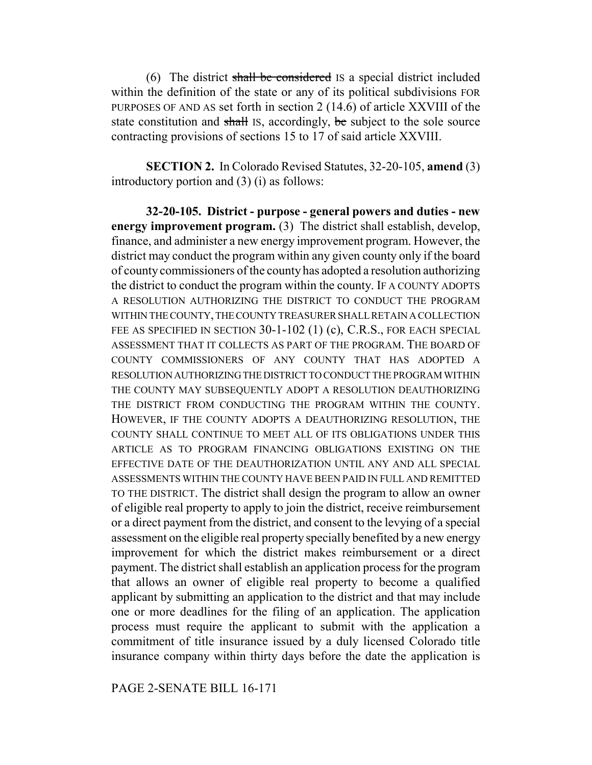(6) The district shall be considered IS a special district included within the definition of the state or any of its political subdivisions FOR PURPOSES OF AND AS set forth in section 2 (14.6) of article XXVIII of the state constitution and shall IS, accordingly, be subject to the sole source contracting provisions of sections 15 to 17 of said article XXVIII.

**SECTION 2.** In Colorado Revised Statutes, 32-20-105, **amend** (3) introductory portion and (3) (i) as follows:

**32-20-105. District - purpose - general powers and duties - new energy improvement program.** (3) The district shall establish, develop, finance, and administer a new energy improvement program. However, the district may conduct the program within any given county only if the board of county commissioners of the county has adopted a resolution authorizing the district to conduct the program within the county. IF A COUNTY ADOPTS A RESOLUTION AUTHORIZING THE DISTRICT TO CONDUCT THE PROGRAM WITHIN THE COUNTY, THE COUNTY TREASURER SHALL RETAIN A COLLECTION FEE AS SPECIFIED IN SECTION 30-1-102 (1) (c), C.R.S., FOR EACH SPECIAL ASSESSMENT THAT IT COLLECTS AS PART OF THE PROGRAM. THE BOARD OF COUNTY COMMISSIONERS OF ANY COUNTY THAT HAS ADOPTED A RESOLUTION AUTHORIZING THE DISTRICT TO CONDUCT THE PROGRAM WITHIN THE COUNTY MAY SUBSEQUENTLY ADOPT A RESOLUTION DEAUTHORIZING THE DISTRICT FROM CONDUCTING THE PROGRAM WITHIN THE COUNTY. HOWEVER, IF THE COUNTY ADOPTS A DEAUTHORIZING RESOLUTION, THE COUNTY SHALL CONTINUE TO MEET ALL OF ITS OBLIGATIONS UNDER THIS ARTICLE AS TO PROGRAM FINANCING OBLIGATIONS EXISTING ON THE EFFECTIVE DATE OF THE DEAUTHORIZATION UNTIL ANY AND ALL SPECIAL ASSESSMENTS WITHIN THE COUNTY HAVE BEEN PAID IN FULL AND REMITTED TO THE DISTRICT. The district shall design the program to allow an owner of eligible real property to apply to join the district, receive reimbursement or a direct payment from the district, and consent to the levying of a special assessment on the eligible real property specially benefited by a new energy improvement for which the district makes reimbursement or a direct payment. The district shall establish an application process for the program that allows an owner of eligible real property to become a qualified applicant by submitting an application to the district and that may include one or more deadlines for the filing of an application. The application process must require the applicant to submit with the application a commitment of title insurance issued by a duly licensed Colorado title insurance company within thirty days before the date the application is

PAGE 2-SENATE BILL 16-171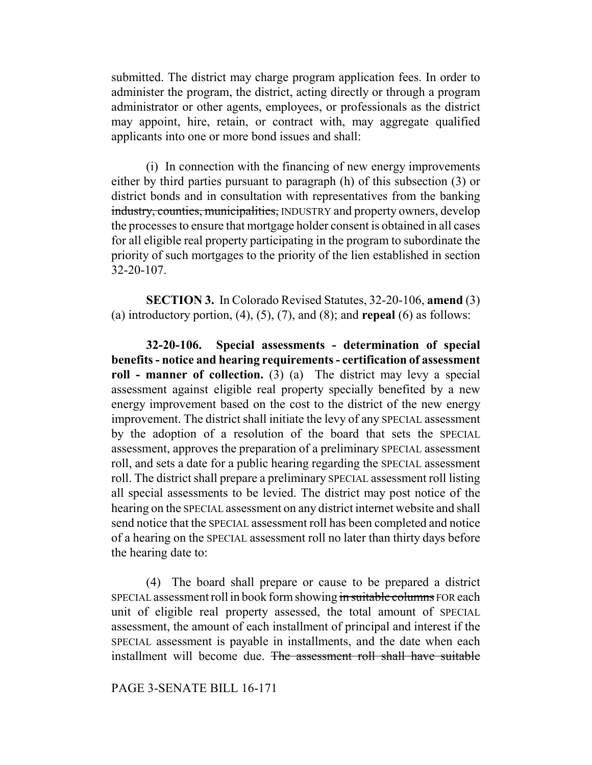submitted. The district may charge program application fees. In order to administer the program, the district, acting directly or through a program administrator or other agents, employees, or professionals as the district may appoint, hire, retain, or contract with, may aggregate qualified applicants into one or more bond issues and shall:

(i) In connection with the financing of new energy improvements either by third parties pursuant to paragraph (h) of this subsection (3) or district bonds and in consultation with representatives from the banking industry, counties, municipalities, INDUSTRY and property owners, develop the processes to ensure that mortgage holder consent is obtained in all cases for all eligible real property participating in the program to subordinate the priority of such mortgages to the priority of the lien established in section 32-20-107.

**SECTION 3.** In Colorado Revised Statutes, 32-20-106, **amend** (3) (a) introductory portion, (4), (5), (7), and (8); and **repeal** (6) as follows:

**32-20-106. Special assessments - determination of special benefits - notice and hearing requirements - certification of assessment roll - manner of collection.** (3) (a) The district may levy a special assessment against eligible real property specially benefited by a new energy improvement based on the cost to the district of the new energy improvement. The district shall initiate the levy of any SPECIAL assessment by the adoption of a resolution of the board that sets the SPECIAL assessment, approves the preparation of a preliminary SPECIAL assessment roll, and sets a date for a public hearing regarding the SPECIAL assessment roll. The district shall prepare a preliminary SPECIAL assessment roll listing all special assessments to be levied. The district may post notice of the hearing on the SPECIAL assessment on any district internet website and shall send notice that the SPECIAL assessment roll has been completed and notice of a hearing on the SPECIAL assessment roll no later than thirty days before the hearing date to:

(4) The board shall prepare or cause to be prepared a district SPECIAL assessment roll in book form showing in suitable columns FOR each unit of eligible real property assessed, the total amount of SPECIAL assessment, the amount of each installment of principal and interest if the SPECIAL assessment is payable in installments, and the date when each installment will become due. The assessment roll shall have suitable

# PAGE 3-SENATE BILL 16-171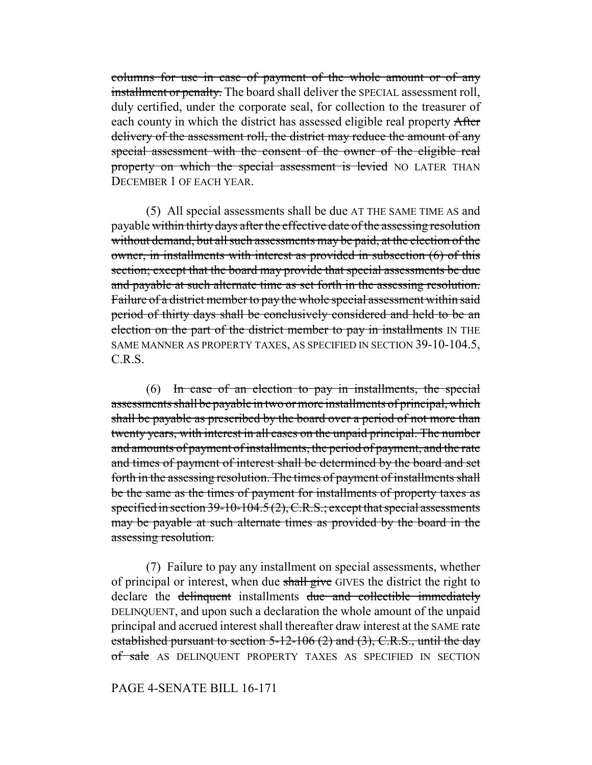columns for use in case of payment of the whole amount or of any installment or penalty. The board shall deliver the SPECIAL assessment roll, duly certified, under the corporate seal, for collection to the treasurer of each county in which the district has assessed eligible real property After delivery of the assessment roll, the district may reduce the amount of any special assessment with the consent of the owner of the eligible real property on which the special assessment is levied NO LATER THAN DECEMBER 1 OF EACH YEAR.

(5) All special assessments shall be due AT THE SAME TIME AS and payable within thirty days after the effective date of the assessing resolution without demand, but all such assessments may be paid, at the election of the owner, in installments with interest as provided in subsection (6) of this section; except that the board may provide that special assessments be due and payable at such alternate time as set forth in the assessing resolution. Failure of a district member to pay the whole special assessment within said period of thirty days shall be conclusively considered and held to be an election on the part of the district member to pay in installments IN THE SAME MANNER AS PROPERTY TAXES, AS SPECIFIED IN SECTION 39-10-104.5, C.R.S.

(6) In case of an election to pay in installments, the special assessments shall be payable in two or more installments of principal, which shall be payable as prescribed by the board over a period of not more than twenty years, with interest in all cases on the unpaid principal. The number and amounts of payment of installments, the period of payment, and the rate and times of payment of interest shall be determined by the board and set forth in the assessing resolution. The times of payment of installments shall be the same as the times of payment for installments of property taxes as specified in section 39-10-104.5 (2), C.R.S.; except that special assessments may be payable at such alternate times as provided by the board in the assessing resolution.

(7) Failure to pay any installment on special assessments, whether of principal or interest, when due shall give GIVES the district the right to declare the delinquent installments due and collectible immediately DELINQUENT, and upon such a declaration the whole amount of the unpaid principal and accrued interest shall thereafter draw interest at the SAME rate established pursuant to section  $5-12-106$  (2) and (3), C.R.S., until the day of sale AS DELINQUENT PROPERTY TAXES AS SPECIFIED IN SECTION

### PAGE 4-SENATE BILL 16-171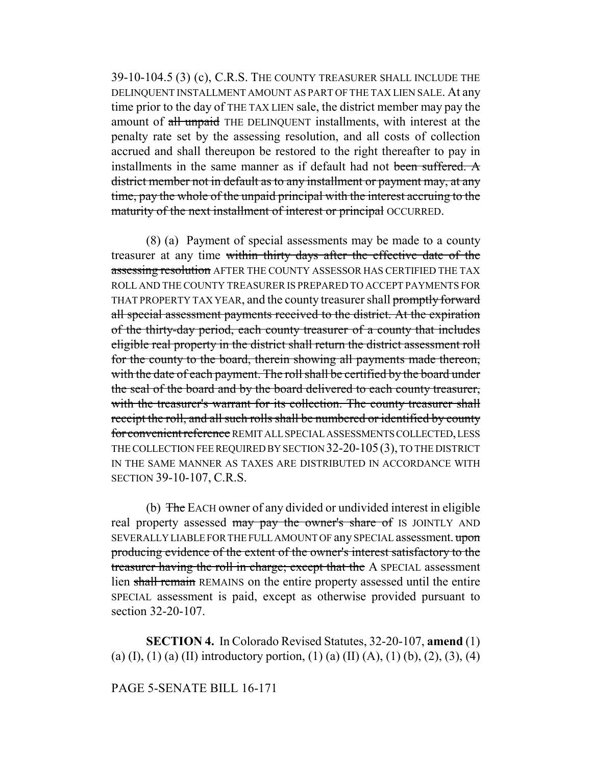39-10-104.5 (3) (c), C.R.S. THE COUNTY TREASURER SHALL INCLUDE THE DELINQUENT INSTALLMENT AMOUNT AS PART OF THE TAX LIEN SALE. At any time prior to the day of THE TAX LIEN sale, the district member may pay the amount of all unpaid THE DELINQUENT installments, with interest at the penalty rate set by the assessing resolution, and all costs of collection accrued and shall thereupon be restored to the right thereafter to pay in installments in the same manner as if default had not been suffered. A district member not in default as to any installment or payment may, at any time, pay the whole of the unpaid principal with the interest accruing to the maturity of the next installment of interest or principal OCCURRED.

(8) (a) Payment of special assessments may be made to a county treasurer at any time within thirty days after the effective date of the assessing resolution AFTER THE COUNTY ASSESSOR HAS CERTIFIED THE TAX ROLL AND THE COUNTY TREASURER IS PREPARED TO ACCEPT PAYMENTS FOR THAT PROPERTY TAX YEAR, and the county treasurer shall promptly forward all special assessment payments received to the district. At the expiration of the thirty-day period, each county treasurer of a county that includes eligible real property in the district shall return the district assessment roll for the county to the board, therein showing all payments made thereon, with the date of each payment. The roll shall be certified by the board under the seal of the board and by the board delivered to each county treasurer, with the treasurer's warrant for its collection. The county treasurer shall receipt the roll, and all such rolls shall be numbered or identified by county for convenient reference REMIT ALL SPECIAL ASSESSMENTS COLLECTED, LESS THE COLLECTION FEE REQUIRED BY SECTION 32-20-105(3), TO THE DISTRICT IN THE SAME MANNER AS TAXES ARE DISTRIBUTED IN ACCORDANCE WITH SECTION 39-10-107, C.R.S.

(b) The EACH owner of any divided or undivided interest in eligible real property assessed may pay the owner's share of IS JOINTLY AND SEVERALLY LIABLE FOR THE FULL AMOUNT OF any SPECIAL assessment. upon producing evidence of the extent of the owner's interest satisfactory to the treasurer having the roll in charge; except that the A SPECIAL assessment lien shall remain REMAINS on the entire property assessed until the entire SPECIAL assessment is paid, except as otherwise provided pursuant to section 32-20-107.

**SECTION 4.** In Colorado Revised Statutes, 32-20-107, **amend** (1) (a) (I), (1) (a) (II) introductory portion, (1) (a) (II) (A), (1) (b), (2), (3), (4)

### PAGE 5-SENATE BILL 16-171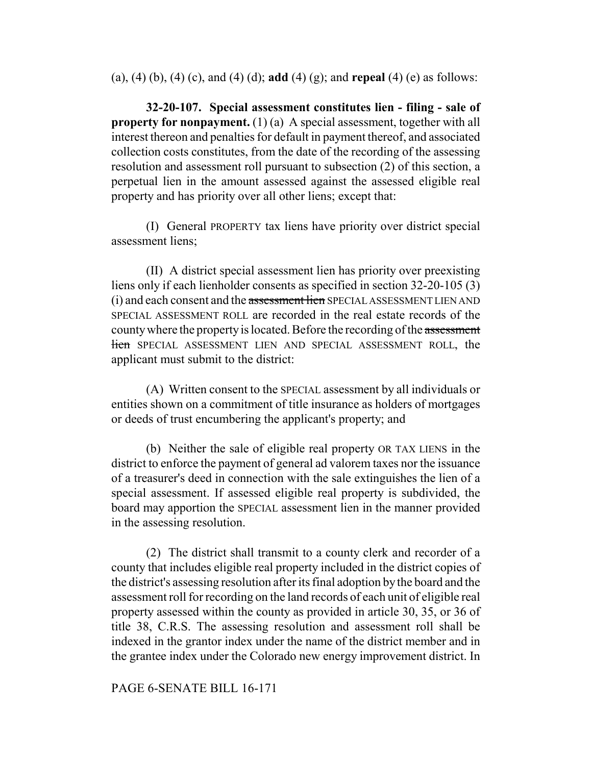(a), (4) (b), (4) (c), and (4) (d); **add** (4) (g); and **repeal** (4) (e) as follows:

**32-20-107. Special assessment constitutes lien - filing - sale of property for nonpayment.** (1) (a) A special assessment, together with all interest thereon and penalties for default in payment thereof, and associated collection costs constitutes, from the date of the recording of the assessing resolution and assessment roll pursuant to subsection (2) of this section, a perpetual lien in the amount assessed against the assessed eligible real property and has priority over all other liens; except that:

(I) General PROPERTY tax liens have priority over district special assessment liens;

(II) A district special assessment lien has priority over preexisting liens only if each lienholder consents as specified in section 32-20-105 (3) (i) and each consent and the assessment lien SPECIAL ASSESSMENT LIEN AND SPECIAL ASSESSMENT ROLL are recorded in the real estate records of the county where the property is located. Before the recording of the assessment lien SPECIAL ASSESSMENT LIEN AND SPECIAL ASSESSMENT ROLL, the applicant must submit to the district:

(A) Written consent to the SPECIAL assessment by all individuals or entities shown on a commitment of title insurance as holders of mortgages or deeds of trust encumbering the applicant's property; and

(b) Neither the sale of eligible real property OR TAX LIENS in the district to enforce the payment of general ad valorem taxes nor the issuance of a treasurer's deed in connection with the sale extinguishes the lien of a special assessment. If assessed eligible real property is subdivided, the board may apportion the SPECIAL assessment lien in the manner provided in the assessing resolution.

(2) The district shall transmit to a county clerk and recorder of a county that includes eligible real property included in the district copies of the district's assessing resolution after its final adoption by the board and the assessment roll for recording on the land records of each unit of eligible real property assessed within the county as provided in article 30, 35, or 36 of title 38, C.R.S. The assessing resolution and assessment roll shall be indexed in the grantor index under the name of the district member and in the grantee index under the Colorado new energy improvement district. In

# PAGE 6-SENATE BILL 16-171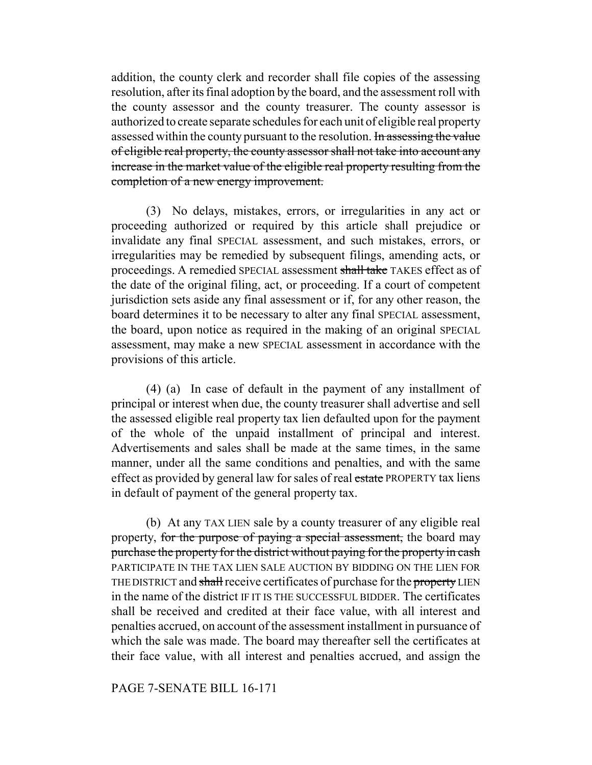addition, the county clerk and recorder shall file copies of the assessing resolution, after its final adoption by the board, and the assessment roll with the county assessor and the county treasurer. The county assessor is authorized to create separate schedules for each unit of eligible real property assessed within the county pursuant to the resolution. In assessing the value of eligible real property, the county assessor shall not take into account any increase in the market value of the eligible real property resulting from the completion of a new energy improvement.

(3) No delays, mistakes, errors, or irregularities in any act or proceeding authorized or required by this article shall prejudice or invalidate any final SPECIAL assessment, and such mistakes, errors, or irregularities may be remedied by subsequent filings, amending acts, or proceedings. A remedied SPECIAL assessment shall take TAKES effect as of the date of the original filing, act, or proceeding. If a court of competent jurisdiction sets aside any final assessment or if, for any other reason, the board determines it to be necessary to alter any final SPECIAL assessment, the board, upon notice as required in the making of an original SPECIAL assessment, may make a new SPECIAL assessment in accordance with the provisions of this article.

(4) (a) In case of default in the payment of any installment of principal or interest when due, the county treasurer shall advertise and sell the assessed eligible real property tax lien defaulted upon for the payment of the whole of the unpaid installment of principal and interest. Advertisements and sales shall be made at the same times, in the same manner, under all the same conditions and penalties, and with the same effect as provided by general law for sales of real estate PROPERTY tax liens in default of payment of the general property tax.

(b) At any TAX LIEN sale by a county treasurer of any eligible real property, for the purpose of paying a special assessment, the board may purchase the property for the district without paying for the property in cash PARTICIPATE IN THE TAX LIEN SALE AUCTION BY BIDDING ON THE LIEN FOR THE DISTRICT and shall receive certificates of purchase for the property LIEN in the name of the district IF IT IS THE SUCCESSFUL BIDDER. The certificates shall be received and credited at their face value, with all interest and penalties accrued, on account of the assessment installment in pursuance of which the sale was made. The board may thereafter sell the certificates at their face value, with all interest and penalties accrued, and assign the

# PAGE 7-SENATE BILL 16-171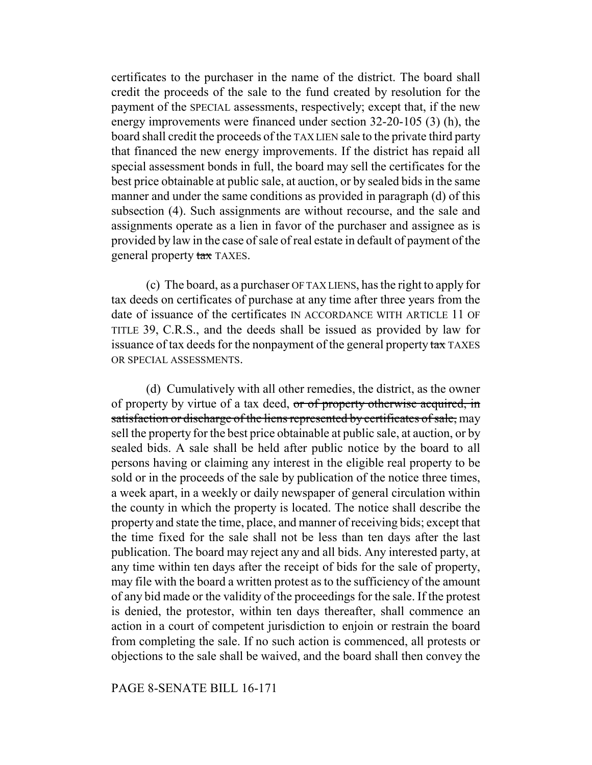certificates to the purchaser in the name of the district. The board shall credit the proceeds of the sale to the fund created by resolution for the payment of the SPECIAL assessments, respectively; except that, if the new energy improvements were financed under section 32-20-105 (3) (h), the board shall credit the proceeds of the TAX LIEN sale to the private third party that financed the new energy improvements. If the district has repaid all special assessment bonds in full, the board may sell the certificates for the best price obtainable at public sale, at auction, or by sealed bids in the same manner and under the same conditions as provided in paragraph (d) of this subsection (4). Such assignments are without recourse, and the sale and assignments operate as a lien in favor of the purchaser and assignee as is provided by law in the case of sale of real estate in default of payment of the general property tax TAXES.

(c) The board, as a purchaser OF TAX LIENS, has the right to apply for tax deeds on certificates of purchase at any time after three years from the date of issuance of the certificates IN ACCORDANCE WITH ARTICLE 11 OF TITLE 39, C.R.S., and the deeds shall be issued as provided by law for issuance of tax deeds for the nonpayment of the general property tax TAXES OR SPECIAL ASSESSMENTS.

(d) Cumulatively with all other remedies, the district, as the owner of property by virtue of a tax deed, or of property otherwise acquired, in satisfaction or discharge of the liens represented by certificates of sale, may sell the property for the best price obtainable at public sale, at auction, or by sealed bids. A sale shall be held after public notice by the board to all persons having or claiming any interest in the eligible real property to be sold or in the proceeds of the sale by publication of the notice three times, a week apart, in a weekly or daily newspaper of general circulation within the county in which the property is located. The notice shall describe the property and state the time, place, and manner of receiving bids; except that the time fixed for the sale shall not be less than ten days after the last publication. The board may reject any and all bids. Any interested party, at any time within ten days after the receipt of bids for the sale of property, may file with the board a written protest as to the sufficiency of the amount of any bid made or the validity of the proceedings for the sale. If the protest is denied, the protestor, within ten days thereafter, shall commence an action in a court of competent jurisdiction to enjoin or restrain the board from completing the sale. If no such action is commenced, all protests or objections to the sale shall be waived, and the board shall then convey the

# PAGE 8-SENATE BILL 16-171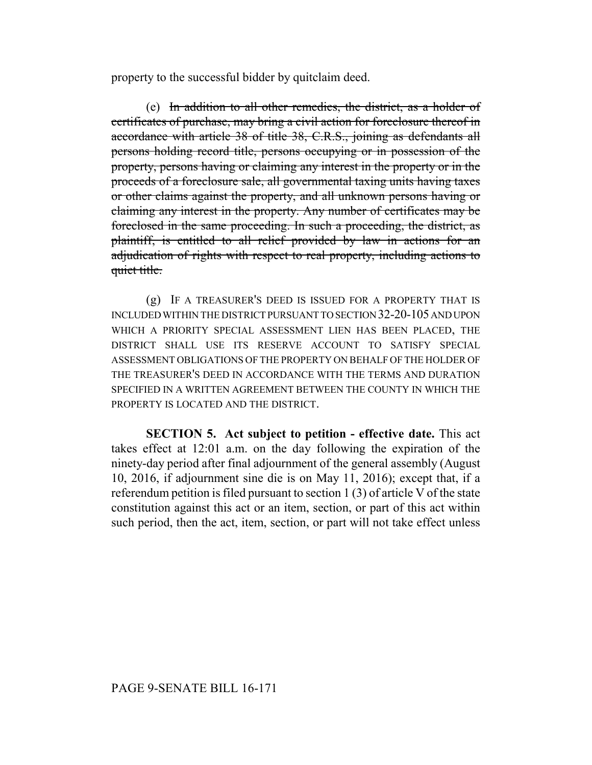property to the successful bidder by quitclaim deed.

(e) In addition to all other remedies, the district, as a holder of certificates of purchase, may bring a civil action for foreclosure thereof in accordance with article 38 of title 38, C.R.S., joining as defendants all persons holding record title, persons occupying or in possession of the property, persons having or claiming any interest in the property or in the proceeds of a foreclosure sale, all governmental taxing units having taxes or other claims against the property, and all unknown persons having or claiming any interest in the property. Any number of certificates may be foreclosed in the same proceeding. In such a proceeding, the district, as plaintiff, is entitled to all relief provided by law in actions for an adjudication of rights with respect to real property, including actions to quiet title.

(g) IF A TREASURER'S DEED IS ISSUED FOR A PROPERTY THAT IS INCLUDED WITHIN THE DISTRICT PURSUANT TO SECTION 32-20-105 AND UPON WHICH A PRIORITY SPECIAL ASSESSMENT LIEN HAS BEEN PLACED, THE DISTRICT SHALL USE ITS RESERVE ACCOUNT TO SATISFY SPECIAL ASSESSMENT OBLIGATIONS OF THE PROPERTY ON BEHALF OF THE HOLDER OF THE TREASURER'S DEED IN ACCORDANCE WITH THE TERMS AND DURATION SPECIFIED IN A WRITTEN AGREEMENT BETWEEN THE COUNTY IN WHICH THE PROPERTY IS LOCATED AND THE DISTRICT.

**SECTION 5. Act subject to petition - effective date.** This act takes effect at 12:01 a.m. on the day following the expiration of the ninety-day period after final adjournment of the general assembly (August 10, 2016, if adjournment sine die is on May 11, 2016); except that, if a referendum petition is filed pursuant to section 1 (3) of article V of the state constitution against this act or an item, section, or part of this act within such period, then the act, item, section, or part will not take effect unless